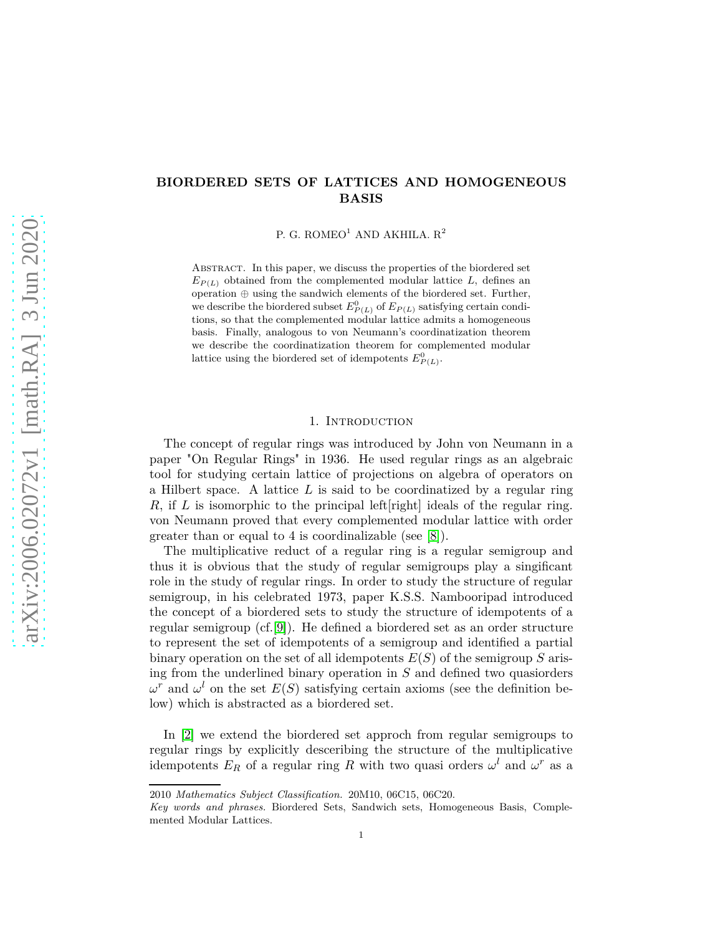## **BIORDERED SETS OF LATTICES AND HOMOGENEOUS BASIS**

P. G. ROMEO<sup>1</sup> AND AKHILA.  $\mathbf{R}^2$ 

Abstract. In this paper, we discuss the properties of the biordered set  $E_{P(L)}$  obtained from the complemented modular lattice *L*, defines an operation ⊕ using the sandwich elements of the biordered set. Further, we describe the biordered subset  $E_{P(L)}^0$  of  $E_{P(L)}$  satisfying certain conditions, so that the complemented modular lattice admits a homogeneous basis. Finally, analogous to von Neumann's coordinatization theorem we describe the coordinatization theorem for complemented modular lattice using the biordered set of idempotents  $E_{P(L)}^0$ .

## 1. INTRODUCTION

The concept of regular rings was introduced by John von Neumann in a paper "On Regular Rings" in 1936. He used regular rings as an algebraic tool for studying certain lattice of projections on algebra of operators on a Hilbert space. A lattice *L* is said to be coordinatized by a regular ring *R*, if *L* is isomorphic to the principal left right ideals of the regular ring. von Neumann proved that every complemented modular lattice with order greater than or equal to 4 is coordinalizable (see [8]).

The multiplicative reduct of a regular ring is a regular semigroup and thus it is obvious that the study of regular semigroups play a singificant role in the study of regular rings. In order to study the structure of regular semigroup, in his celebrated 1973, paper K.S.S. Nambooripad introduced the concept of a biordered sets to study the structure of idempotents of a regular semigroup (cf.[\[9\]](#page-9-0)). He defined a biordered set as an order structure to represent the set of idempotents of a semigroup and identified a partial binary operation on the set of all idempotents *E*(*S*) of the semigroup *S* arising from the underlined binary operation in *S* and defined two quasiorders  $ω<sup>r</sup>$  and  $ω<sup>l</sup>$  on the set *E*(*S*) satisfying certain axioms (see the definition below) which is abstracted as a biordered set.

In [\[2\]](#page-9-1) we extend the biordered set approch from regular semigroups to regular rings by explicitly desceribing the structure of the multiplicative idempotents  $E_R$  of a regular ring  $R$  with two quasi orders  $\omega^l$  and  $\omega^r$  as a

<sup>2010</sup> *Mathematics Subject Classification.* 20M10, 06C15, 06C20.

*Key words and phrases.* Biordered Sets, Sandwich sets, Homogeneous Basis, Complemented Modular Lattices.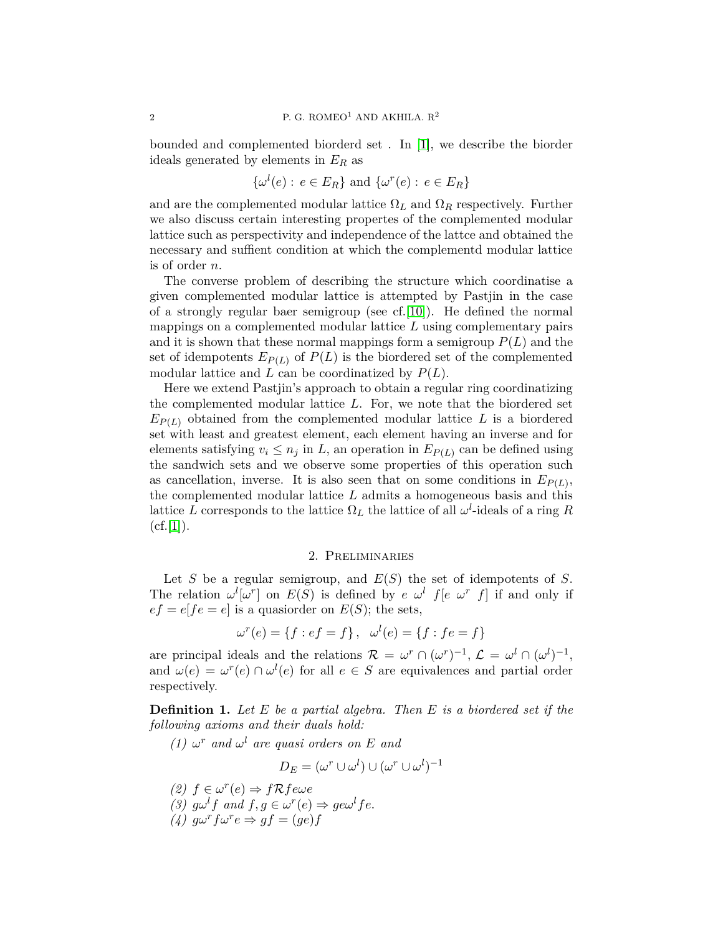bounded and complemented biorderd set . In [\[1\]](#page-9-2), we describe the biorder ideals generated by elements in *E<sup>R</sup>* as

$$
\{\omega^l(e): e \in E_R\} \text{ and } \{\omega^r(e): e \in E_R\}
$$

and are the complemented modular lattice  $\Omega_L$  and  $\Omega_R$  respectively. Further we also discuss certain interesting propertes of the complemented modular lattice such as perspectivity and independence of the lattce and obtained the necessary and suffient condition at which the complementd modular lattice is of order *n*.

The converse problem of describing the structure which coordinatise a given complemented modular lattice is attempted by Pastjin in the case of a strongly regular baer semigroup (see cf.  $[10]$ ). He defined the normal mappings on a complemented modular lattice *L* using complementary pairs and it is shown that these normal mappings form a semigroup  $P(L)$  and the set of idempotents  $E_{P(L)}$  of  $P(L)$  is the biordered set of the complemented modular lattice and *L* can be coordinatized by *P*(*L*).

Here we extend Pastjin's approach to obtain a regular ring coordinatizing the complemented modular lattice *L*. For, we note that the biordered set  $E_{P(L)}$  obtained from the complemented modular lattice *L* is a biordered set with least and greatest element, each element having an inverse and for elements satisfying  $v_i \leq n_j$  in *L*, an operation in  $E_{P(L)}$  can be defined using the sandwich sets and we observe some properties of this operation such as cancellation, inverse. It is also seen that on some conditions in  $E_{P(L)}$ , the complemented modular lattice *L* admits a homogeneous basis and this lattice *L* corresponds to the lattice  $\Omega_L$  the lattice of all  $\omega^l$ -ideals of a ring *R*  $(cf.[1]).$  $(cf.[1]).$  $(cf.[1]).$ 

## 2. Preliminaries

Let *S* be a regular semigroup, and *E*(*S*) the set of idempotents of *S*. The relation  $\omega^{l}[\omega^{r}]$  on  $E(S)$  is defined by *e*  $\omega^{l}$  *f*[*e*  $\omega^{r}$  *f*] if and only if  $ef = ef[e = e]$  is a quasioner on  $E(S)$ ; the sets,

$$
\omega^{r}(e) = \{f : ef = f\}, \quad \omega^{l}(e) = \{f : fe = f\}
$$

are principal ideals and the relations  $\mathcal{R} = \omega^r \cap (\omega^r)^{-1}, \mathcal{L} = \omega^l \cap (\omega^l)^{-1},$ and  $\omega(e) = \omega^r(e) \cap \omega^l(e)$  for all  $e \in S$  are equivalences and partial order respectively.

**Definition 1.** *Let E be a partial algebra. Then E is a biordered set if the following axioms and their duals hold:*

*(1)*  $\omega^r$  *and*  $\omega^l$  *are quasi orders on E and* 

$$
D_E = (\omega^r \cup \omega^l) \cup (\omega^r \cup \omega^l)^{-1}
$$

(2) 
$$
f \in \omega^r(e) \Rightarrow f \mathcal{R} f e \omega e
$$
  
(3)  $g \omega^l f$  and  $f, g \in \omega^r(e) \Rightarrow g e \omega^l f e$ .  
(4)  $g \omega^r f \omega^r e \Rightarrow gf = (ge)f$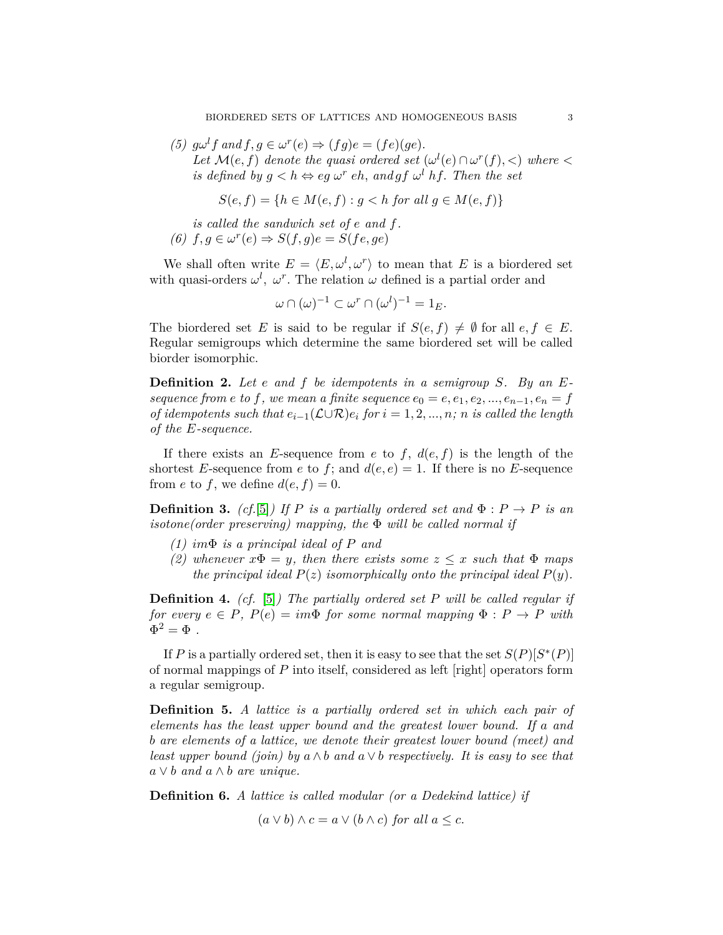(5)  $g\omega^l f$  and  $f, g \in \omega^r(e) \Rightarrow (fg)e = (fe)(ge)$ . *Let*  $\mathcal{M}(e, f)$  *denote the quasi ordered set*  $(\omega^{l}(e) \cap \omega^{r}(f), <)$  *where*  $\lt$ *is defined by*  $g < h \Leftrightarrow eg \omega^r eh$ , and  $gf \omega^l hf$ . Then the set

$$
S(e, f) = \{ h \in M(e, f) : g < h \text{ for all } g \in M(e, f) \}
$$

*is called the sandwich set of e and f.*  $(6)$   $f, g \in \omega^r(e) \Rightarrow S(f, g)e = S(fe, ge)$ 

We shall often write  $E = \langle E, \omega^l, \omega^r \rangle$  to mean that *E* is a biordered set with quasi-orders  $\omega^l$ ,  $\omega^r$ . The relation  $\omega$  defined is a partial order and

$$
\omega \cap (\omega)^{-1} \subset \omega^r \cap (\omega^l)^{-1} = 1_E.
$$

The biordered set *E* is said to be regular if  $S(e, f) \neq \emptyset$  for all  $e, f \in E$ . Regular semigroups which determine the same biordered set will be called biorder isomorphic.

**Definition 2.** *Let e and f be idempotents in a semigroup S. By an Esequence from e to f, we mean a finite sequence*  $e_0 = e, e_1, e_2, ..., e_{n-1}, e_n = f$ *of idempotents such that*  $e_{i-1}(\mathcal{L}\cup\mathcal{R})e_i$  *for*  $i=1,2,...,n$ ; *n is called the length of the E-sequence.*

If there exists an *E*-sequence from *e* to *f*,  $d(e, f)$  is the length of the shortest *E*-sequence from *e* to *f*; and  $d(e, e) = 1$ . If there is no *E*-sequence from *e* to *f*, we define  $d(e, f) = 0$ .

**Definition 3.** (cf.[\[5\]](#page-9-4)) If P is a partially ordered set and  $\Phi : P \to P$  is an *isotone(order preserving) mapping, the* Φ *will be called normal if*

- *(1) im*Φ *is a principal ideal of P and*
- *(2)* whenever  $x\Phi = y$ , then there exists some  $z \leq x$  such that  $\Phi$  maps *the principal ideal*  $P(z)$  *isomorphically onto the principal ideal*  $P(y)$ *.*

**Definition 4.** *(cf.* [\[5\]](#page-9-4)*) The partially ordered set P will be called regular if for every*  $e \in P$ ,  $P(e) = im\Phi$  *for some normal mapping*  $\Phi : P \to P$  *with*  $\Phi^2 = \Phi$ .

If *P* is a partially ordered set, then it is easy to see that the set  $S(P)[S^*(P)]$ of normal mappings of *P* into itself, considered as left [right] operators form a regular semigroup.

**Definition 5.** *A lattice is a partially ordered set in which each pair of elements has the least upper bound and the greatest lower bound. If a and b are elements of a lattice, we denote their greatest lower bound (meet) and least upper bound (join) by*  $a \wedge b$  *and*  $a \vee b$  *respectively. It is easy to see that*  $a \vee b$  *and*  $a \wedge b$  *are unique.* 

**Definition 6.** *A lattice is called modular (or a Dedekind lattice) if*

 $(a \vee b) \wedge c = a \vee (b \wedge c)$  *for all*  $a \leq c$ .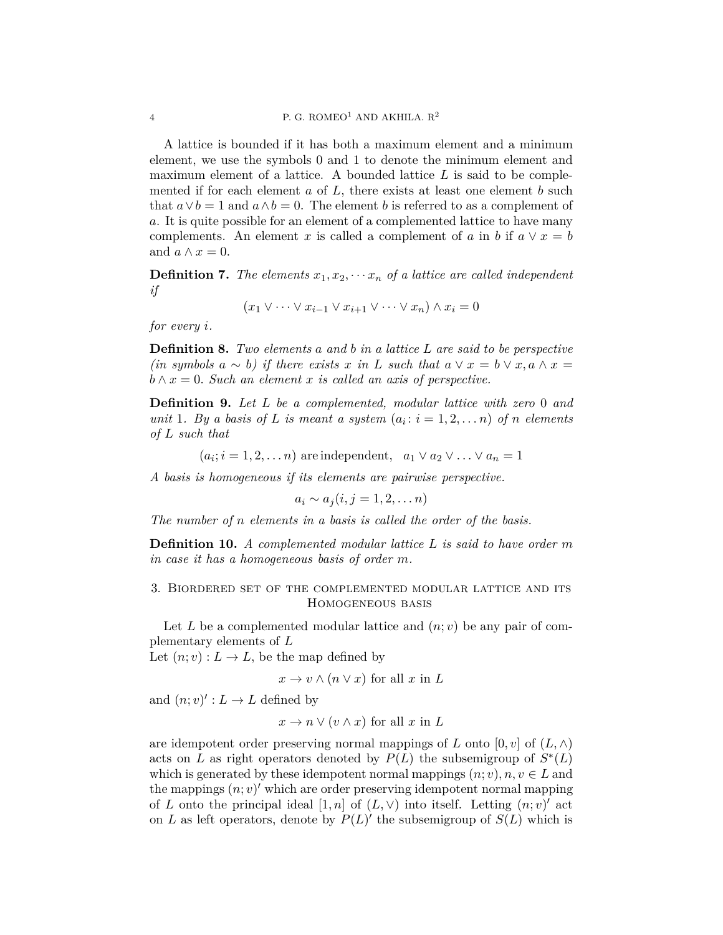A lattice is bounded if it has both a maximum element and a minimum element, we use the symbols 0 and 1 to denote the minimum element and maximum element of a lattice. A bounded lattice *L* is said to be complemented if for each element *a* of *L*, there exists at least one element *b* such that  $a \vee b = 1$  and  $a \wedge b = 0$ . The element *b* is referred to as a complement of *a*. It is quite possible for an element of a complemented lattice to have many complements. An element *x* is called a complement of *a* in *b* if  $a \vee x = b$ and  $a \wedge x = 0$ .

**Definition 7.** The elements  $x_1, x_2, \cdots x_n$  of a lattice are called independent *if*

$$
(x_1 \vee \cdots \vee x_{i-1} \vee x_{i+1} \vee \cdots \vee x_n) \wedge x_i = 0
$$

*for every i.*

**Definition 8.** *Two elements a and b in a lattice L are said to be perspective (in symbols*  $a ∼ b$ ) *if there exists*  $x$  *in*  $L$  *such that*  $a ∨ x = b ∨ x, a ∧ x =$  $b \wedge x = 0$ . Such an element *x* is called an axis of perspective.

**Definition 9.** *Let L be a complemented, modular lattice with zero* 0 *and unit* 1*. By a basis of L is meant a system*  $(a_i : i = 1, 2, \ldots, n)$  *of n elements of L such that*

 $(a_i; i = 1, 2, \dots n)$  are independent,  $a_1 \vee a_2 \vee \dots \vee a_n = 1$ 

*A basis is homogeneous if its elements are pairwise perspective.*

$$
a_i \sim a_j (i,j=1,2,\ldots n)
$$

*The number of n elements in a basis is called the order of the basis.*

**Definition 10.** *A complemented modular lattice L is said to have order m in case it has a homogeneous basis of order m.*

3. Biordered set of the complemented modular lattice and its Homogeneous basis

Let L be a complemented modular lattice and  $(n; v)$  be any pair of complementary elements of *L*

Let  $(n; v) : L \to L$ , be the map defined by

 $x \to v \wedge (n \vee x)$  for all *x* in *L* 

and  $(n; v)' : L \to L$  defined by

$$
x \to n \vee (v \wedge x)
$$
 for all x in L

are idempotent order preserving normal mappings of *L* onto  $[0, v]$  of  $(L, \wedge)$ acts on *L* as right operators denoted by  $P(L)$  the subsemigroup of  $S^*(L)$ which is generated by these idempotent normal mappings  $(n; v), n, v \in L$  and the mappings  $(n; v)'$  which are order preserving idempotent normal mapping of *L* onto the principal ideal  $[1, n]$  of  $(L, \vee)$  into itself. Letting  $(n, v)'$  act on *L* as left operators, denote by  $P(L)$  the subsemigroup of  $S(L)$  which is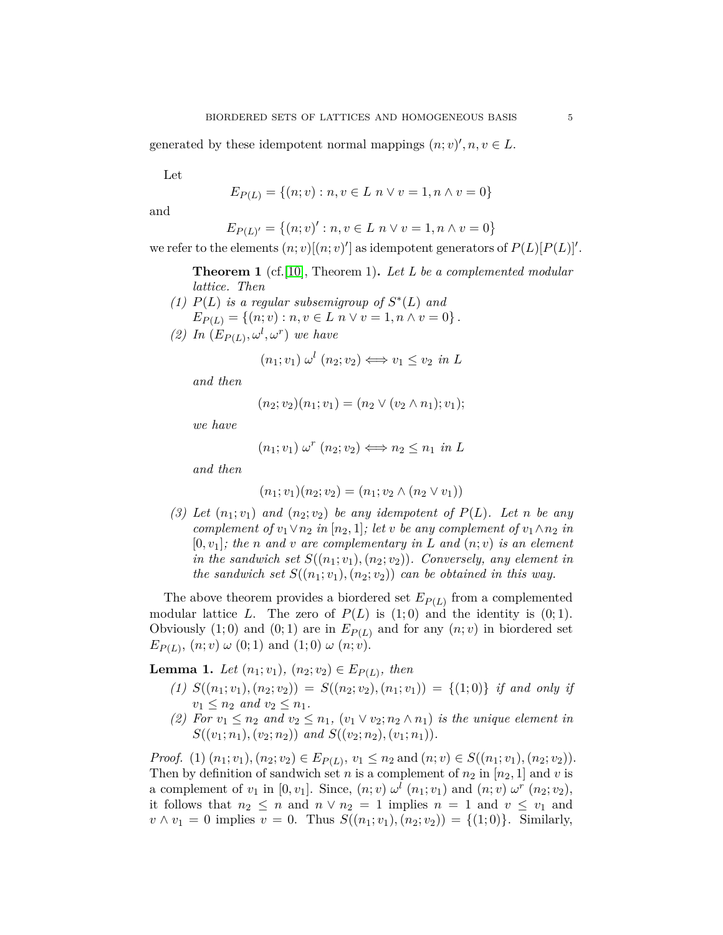generated by these idempotent normal mappings  $(n; v)$ <sup>'</sup>,  $n, v \in L$ .

Let

$$
E_{P(L)} = \{(n; v) : n, v \in L \mid n \lor v = 1, n \land v = 0\}
$$

and

$$
E_{P(L)'} = \{(n; v)': n, v \in L \mid n \lor v = 1, n \land v = 0\}
$$

we refer to the elements  $(n; v)[(n; v)]$  as idempotent generators of  $P(L)[P(L)]'$ .

**Theorem 1** (cf.[\[10\]](#page-9-3), Theorem 1)**.** *Let L be a complemented modular lattice. Then*

(1)  $P(L)$  *is a regular subsemigroup of*  $S^*(L)$  *and*  $E_{P(L)} = \{(n; v) : n, v \in L \mid n \lor v = 1, n \land v = 0\}$ . (2) In  $(E_{P(L)}, \omega^l, \omega^r)$  *we have* 

$$
(n_1; v_1) \omega^l (n_2; v_2) \Longleftrightarrow v_1 \le v_2 \text{ in } L
$$

*and then*

$$
(n_2; v_2)(n_1; v_1) = (n_2 \vee (v_2 \wedge n_1); v_1);
$$

*we have*

$$
(n_1; v_1) \omega^r (n_2; v_2) \Longleftrightarrow n_2 \le n_1 \text{ in } L
$$

*and then*

$$
(n_1; v_1)(n_2; v_2) = (n_1; v_2 \wedge (n_2 \vee v_1))
$$

(3) Let  $(n_1; v_1)$  and  $(n_2; v_2)$  be any idempotent of  $P(L)$ . Let *n* be any *complement of*  $v_1 \vee n_2$  *in*  $[n_2, 1]$ *; let v be any complement of*  $v_1 \wedge n_2$  *in*  $[0, v_1]$ *; the n* and *v* are complementary in L and  $(n; v)$  is an element *in the sandwich set*  $S((n_1; v_1), (n_2; v_2))$ *. Conversely, any element in the sandwich set*  $S((n_1; v_1), (n_2; v_2))$  *can be obtained in this way.* 

The above theorem provides a biordered set  $E_{P(L)}$  from a complemented modular lattice *L*. The zero of  $P(L)$  is  $(1,0)$  and the identity is  $(0,1)$ . Obviously  $(1,0)$  and  $(0,1)$  are in  $E_{P(L)}$  and for any  $(n; v)$  in biordered set  $E_{P(L)}$ ,  $(n; v) \omega (0; 1)$  and  $(1; 0) \omega (n; v)$ .

<span id="page-4-0"></span>**Lemma 1.** *Let*  $(n_1; v_1)$ ,  $(n_2; v_2) \in E_{P(L)}$ , then

- (1)  $S((n_1; v_1), (n_2; v_2)) = S((n_2; v_2), (n_1; v_1)) = \{(1; 0)\}$  *if and only if*  $v_1 \leq n_2$  *and*  $v_2 \leq n_1$ *.*
- (2) For  $v_1 \leq n_2$  and  $v_2 \leq n_1$ ,  $(v_1 \vee v_2; n_2 \wedge n_1)$  *is the unique element in S*(( $v_1; n_1$ )*,*( $v_2; n_2$ )) *and S*(( $v_2; n_2$ )*,*( $v_1; n_1$ )).

*Proof.* (1)  $(n_1; v_1)$ ,  $(n_2; v_2) \in E_{P(L)}$ ,  $v_1 \leq n_2$  and  $(n; v) \in S((n_1; v_1), (n_2; v_2))$ . Then by definition of sandwich set *n* is a complement of  $n_2$  in  $[n_2, 1]$  and *v* is a complement of  $v_1$  in  $[0, v_1]$ . Since,  $(n; v) \omega^l (n_1; v_1)$  and  $(n; v) \omega^r (n_2; v_2)$ , it follows that  $n_2 \leq n$  and  $n \vee n_2 = 1$  implies  $n = 1$  and  $v \leq v_1$  and  $v \wedge v_1 = 0$  implies  $v = 0$ . Thus  $S((n_1; v_1), (n_2; v_2)) = \{(1; 0)\}\.$  Similarly,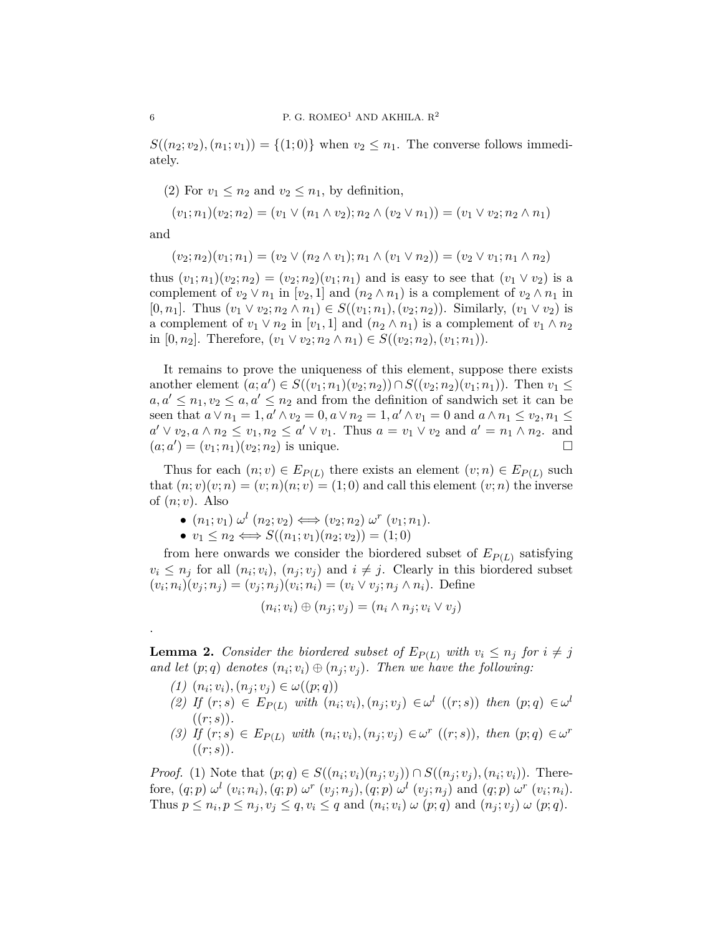$S((n_2; v_2), (n_1; v_1)) = \{(1; 0)\}\$  when  $v_2 \leq n_1$ . The converse follows immediately.

(2) For  $v_1 \leq n_2$  and  $v_2 \leq n_1$ , by definition,

$$
(v_1; n_1)(v_2; n_2) = (v_1 \vee (n_1 \wedge v_2); n_2 \wedge (v_2 \vee n_1)) = (v_1 \vee v_2; n_2 \wedge n_1)
$$

and

.

$$
(v_2; n_2)(v_1; n_1) = (v_2 \lor (n_2 \land v_1); n_1 \land (v_1 \lor n_2)) = (v_2 \lor v_1; n_1 \land n_2)
$$

thus  $(v_1; n_1)(v_2; n_2) = (v_2; n_2)(v_1; n_1)$  and is easy to see that  $(v_1 \vee v_2)$  is a complement of  $v_2 \vee n_1$  in  $[v_2, 1]$  and  $(n_2 \wedge n_1)$  is a complement of  $v_2 \wedge n_1$  in  $[0, n_1]$ . Thus  $(v_1 \vee v_2; n_2 \wedge n_1) \in S((v_1; n_1), (v_2; n_2))$ . Similarly,  $(v_1 \vee v_2)$  is a complement of  $v_1 \vee n_2$  in  $[v_1, 1]$  and  $(n_2 \wedge n_1)$  is a complement of  $v_1 \wedge n_2$ in [0, *n*<sub>2</sub>]. Therefore,  $(v_1 ∨ v_2; n_2 ∧ n_1) ∈ S((v_2; n_2), (v_1; n_1)).$ 

It remains to prove the uniqueness of this element, suppose there exists another element  $(a; a') \in S((v_1; n_1)(v_2; n_2)) \cap S((v_2; n_2)(v_1; n_1))$ . Then  $v_1 \leq$  $a, a' \leq n_1, v_2 \leq a, a' \leq n_2$  and from the definition of sandwich set it can be seen that  $a \vee n_1 = 1, a' \wedge v_2 = 0, a \vee n_2 = 1, a' \wedge v_1 = 0$  and  $a \wedge n_1 \le v_2, n_1 \le v_2$  $a' \vee v_2, a \wedge n_2 \leq v_1, n_2 \leq a' \vee v_1$ . Thus  $a = v_1 \vee v_2$  and  $a' = n_1 \wedge n_2$ . and  $(a; a') = (v_1; n_1)(v_2; n_2)$  is unique.

Thus for each  $(n; v) \in E_{P(L)}$  there exists an element  $(v; n) \in E_{P(L)}$  such that  $(n; v)(v; n) = (v; n)(n; v) = (1; 0)$  and call this element  $(v; n)$  the inverse of (*n*; *v*). Also

$$
\bullet (n_1; v_1) \omega^l (n_2; v_2) \Longleftrightarrow (v_2; n_2) \omega^r (v_1; n_1).
$$

$$
\bullet v_1 \leq n_2 \Longleftrightarrow S((n_1; v_1)(n_2; v_2)) = (1; 0)
$$

from here onwards we consider the biordered subset of *EP*(*L*) satisfying  $v_i \leq n_j$  for all  $(n_i; v_i)$ ,  $(n_j; v_j)$  and  $i \neq j$ . Clearly in this biordered subset  $(v_i; n_i)(v_j; n_j) = (v_j; n_j)(v_i; n_i) = (v_i \vee v_j; n_j \wedge n_i)$ . Define

$$
(n_i; v_i) \oplus (n_j; v_j) = (n_i \wedge n_j; v_i \vee v_j)
$$

**Lemma 2.** Consider the biordered subset of  $E_{P(L)}$  with  $v_i \leq n_j$  for  $i \neq j$ *and let*  $(p; q)$  *denotes*  $(n_i; v_i) \oplus (n_j; v_j)$ *. Then we have the following:* 

- $(1)$   $(n_i; v_i), (n_j; v_j) \in \omega((p; q))$
- (2) If  $(r; s) \in E_{P(L)}$  with  $(n_i; v_i), (n_j; v_j) \in \omega^l$   $((r; s))$  then  $(p; q) \in \omega^l$  $((r; s)).$
- (3) If  $(r; s) \in E_{P(L)}$  with  $(n_i; v_i), (n_j; v_j) \in \omega^r ((r; s))$ , then  $(p; q) \in \omega^r$  $((r; s)).$

*Proof.* (1) Note that  $(p, q) \in S((n_i; v_i)(n_j; v_j)) \cap S((n_j; v_j), (n_i; v_i))$ . Therefore,  $(q, p) \omega^l (v_i; n_i)$ ,  $(q, p) \omega^r (v_j; n_j)$ ,  $(q, p) \omega^l (v_j; n_j)$  and  $(q, p) \omega^r (v_i; n_i)$ . Thus  $p \leq n_i, p \leq n_j, v_j \leq q, v_i \leq q$  and  $(n_i; v_i) \omega(p; q)$  and  $(n_j; v_j) \omega(p; q)$ .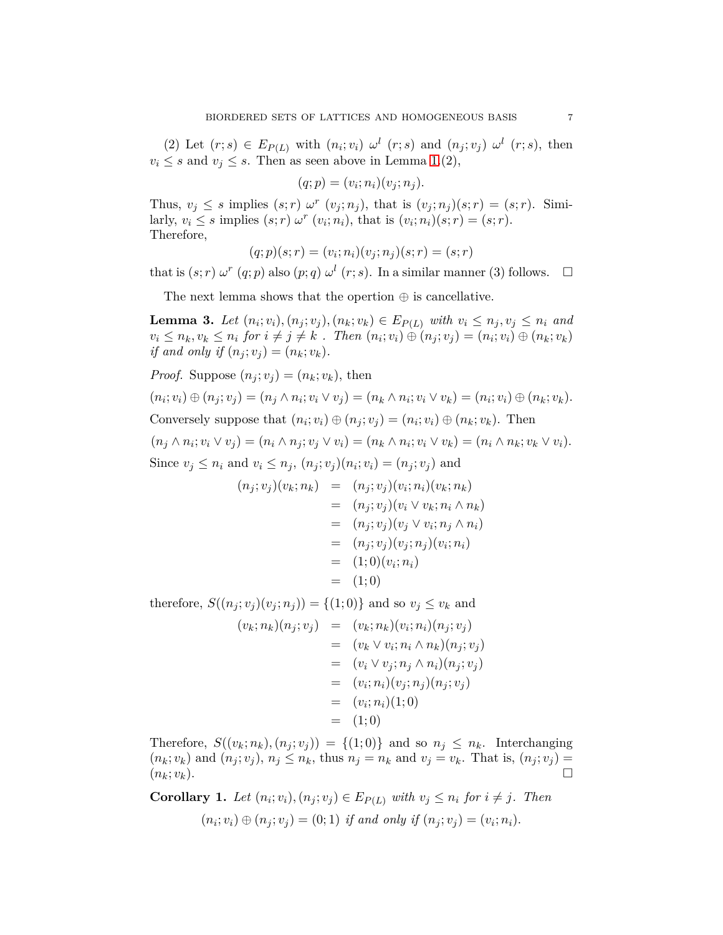(2) Let  $(r; s) \in E_{P(L)}$  with  $(n_i; v_i) \omega^l$   $(r; s)$  and  $(n_j; v_j) \omega^l$   $(r; s)$ , then  $v_i \leq s$  and  $v_j \leq s$ . Then as seen above in Lemma [1.](#page-4-0)(2),

$$
(q; p) = (v_i; n_i)(v_j; n_j).
$$

Thus,  $v_j \leq s$  implies  $(s; r) \omega^r$   $(v_j; n_j)$ , that is  $(v_j; n_j)(s; r) = (s; r)$ . Similarly,  $v_i \leq s$  implies  $(s; r) \omega^r (v_i; n_i)$ , that is  $(v_i; n_i)(s; r) = (s; r)$ . Therefore,

$$
(q; p)(s; r) = (v_i; n_i)(v_j; n_j)(s; r) = (s; r)
$$

that is  $(s; r) \omega^r (q; p)$  also  $(p; q) \omega^l (r; s)$ . In a similar manner (3) follows.  $\Box$ 

The next lemma shows that the opertion  $\oplus$  is cancellative.

**Lemma 3.** Let  $(n_i; v_i), (n_j; v_j), (n_k; v_k) \in E_{P(L)}$  with  $v_i \leq n_j, v_j \leq n_i$  and  $v_i \leq n_k, v_k \leq n_i$  for  $i \neq j \neq k$ . Then  $(n_i; v_i) \oplus (n_j; v_j) = (n_i; v_i) \oplus (n_k; v_k)$ *if and only if*  $(n_i; v_i) = (n_k; v_k)$ .

*Proof.* Suppose  $(n_i; v_i) = (n_k; v_k)$ , then

 $(n_i; v_i) \oplus (n_j; v_j) = (n_j \wedge n_i; v_i \vee v_j) = (n_k \wedge n_i; v_i \vee v_k) = (n_i; v_i) \oplus (n_k; v_k).$ Conversely suppose that  $(n_i; v_i) \oplus (n_j; v_j) = (n_i; v_i) \oplus (n_k; v_k)$ . Then  $(n_j \wedge n_i; v_i \vee v_j) = (n_i \wedge n_j; v_j \vee v_i) = (n_k \wedge n_i; v_i \vee v_k) = (n_i \wedge n_k; v_k \vee v_i).$ Since  $v_j \leq n_i$  and  $v_i \leq n_j$ ,  $(n_j; v_j)(n_i; v_i) = (n_j; v_j)$  and

$$
(n_j; v_j)(v_k; n_k) = (n_j; v_j)(v_i; n_i)(v_k; n_k)
$$
  
=  $(n_j; v_j)(v_i \vee v_k; n_i \wedge n_k)$   
=  $(n_j; v_j)(v_j \vee v_i; n_j \wedge n_i)$   
=  $(n_j; v_j)(v_j; n_j)(v_i; n_i)$   
=  $(1; 0)(v_i; n_i)$   
=  $(1; 0)$ 

therefore,  $S((n_j; v_j)(v_j; n_j)) = \{(1; 0)\}\$ and so  $v_j \leq v_k$  and

$$
(v_k; n_k)(n_j; v_j) = (v_k; n_k)(v_i; n_i)(n_j; v_j)
$$
  
=  $(v_k \vee v_i; n_i \wedge n_k)(n_j; v_j)$   
=  $(v_i \vee v_j; n_j \wedge n_i)(n_j; v_j)$   
=  $(v_i; n_i)(v_j; n_j)(n_j; v_j)$   
=  $(v_i; n_i)(1; 0)$   
=  $(1; 0)$ 

Therefore,  $S((v_k; n_k), (n_j; v_j)) = \{(1; 0)\}\$ and so  $n_j \leq n_k$ . Interchanging  $(n_k; v_k)$  and  $(n_i; v_j)$ ,  $n_j \leq n_k$ , thus  $n_j = n_k$  and  $v_j = v_k$ . That is,  $(n_j; v_j) =$  $(n_k; v_k)$ .

**Corollary 1.** Let  $(n_i; v_i), (n_j; v_j) \in E_{P(L)}$  with  $v_j \leq n_i$  for  $i \neq j$ . Then  $(n_i; v_i) \oplus (n_j; v_j) = (0; 1)$  *if and only if*  $(n_j; v_j) = (v_i; n_i)$ .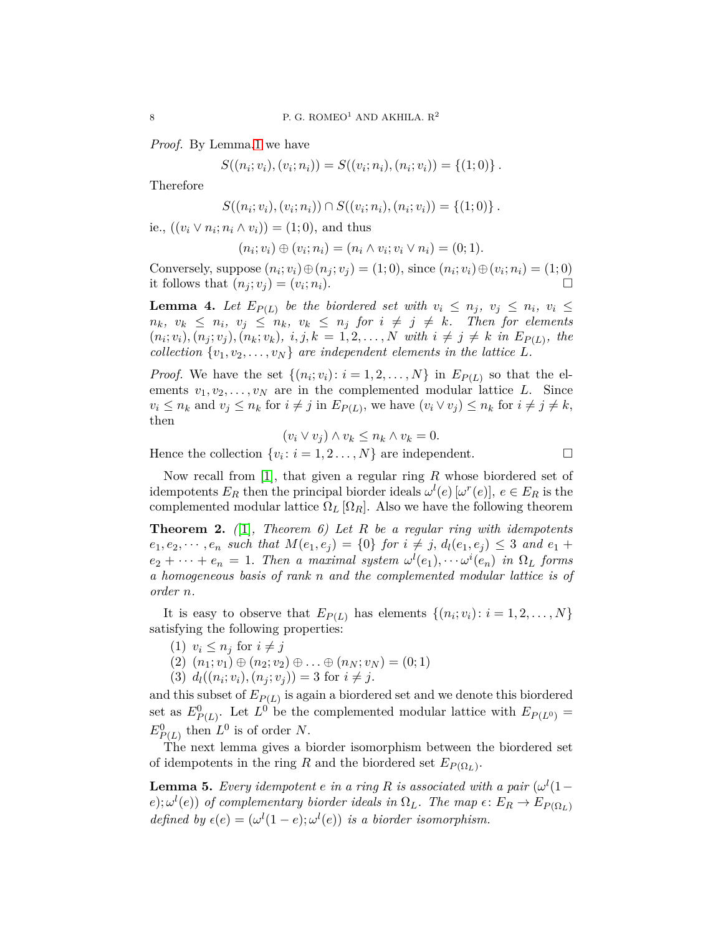*Proof.* By Lemma[.1](#page-4-0) we have

$$
S((n_i; v_i), (v_i; n_i)) = S((v_i; n_i), (n_i; v_i)) = \{(1; 0)\}.
$$

Therefore

$$
S((n_i; v_i), (v_i; n_i)) \cap S((v_i; n_i), (n_i; v_i)) = \{(1; 0)\}.
$$

ie.,  $((v_i ∨ n_i; n_i ∧ v_i)) = (1; 0)$ , and thus

$$
(n_i; v_i) \oplus (v_i; n_i) = (n_i \wedge v_i; v_i \vee n_i) = (0; 1).
$$

Conversely, suppose  $(n_i; v_i) \oplus (n_j; v_j) = (1; 0)$ , since  $(n_i; v_i) \oplus (v_i; n_i) = (1; 0)$ it follows that  $(n_i; v_i) = (v_i; n_i)$ .  $(n_i)$ .

**Lemma 4.** Let  $E_{P(L)}$  be the biordered set with  $v_i \leq n_j$ ,  $v_j \leq n_i$ ,  $v_i \leq$  $n_k$ *,*  $v_k \leq n_i$ *,*  $v_j \leq n_k$ *,*  $v_k \leq n_j$  for  $i \neq j \neq k$ *. Then for elements*  $(n_i; v_i), (n_j; v_j), (n_k; v_k), i, j, k = 1, 2, ..., N$  with  $i \neq j \neq k$  in  $E_{P(L)}$ , the *collection*  $\{v_1, v_2, \ldots, v_N\}$  *are independent elements in the lattice L.* 

*Proof.* We have the set  $\{(n_i; v_i): i = 1, 2, \ldots, N\}$  in  $E_{P(L)}$  so that the elements  $v_1, v_2, \ldots, v_N$  are in the complemented modular lattice *L*. Since  $v_i \leq n_k$  and  $v_j \leq n_k$  for  $i \neq j$  in  $E_{P(L)}$ , we have  $(v_i \vee v_j) \leq n_k$  for  $i \neq j \neq k$ , then

$$
(v_i \vee v_j) \wedge v_k \leq n_k \wedge v_k = 0.
$$

Hence the collection  $\{v_i: i = 1, 2, ..., N\}$  are independent.

Now recall from [\[1\]](#page-9-2), that given a regular ring *R* whose biordered set of idempotents  $E_R$  then the principal biorder ideals  $\omega^l(e)$  [ $\omega^r(e)$ ],  $e \in E_R$  is the complemented modular lattice  $\Omega_L[\Omega_R]$ . Also we have the following theorem

**Theorem 2.** *(*[\[1\]](#page-9-2)*, Theorem 6) Let R be a regular ring with idempotents*  $e_1, e_2, \dots, e_n$  *such that*  $M(e_1, e_j) = \{0\}$  *for*  $i \neq j$ ,  $d_l(e_1, e_j) \leq 3$  *and*  $e_1 +$  $e_2 + \cdots + e_n = 1$ . Then a maximal system  $\omega^l(e_1), \cdots \omega^i(e_n)$  in  $\Omega_L$  forms *a homogeneous basis of rank n and the complemented modular lattice is of order n.*

It is easy to observe that  $E_{P(L)}$  has elements  $\{(n_i; v_i): i = 1, 2, \ldots, N\}$ satisfying the following properties:

- $(1)$   $v_i \leq n_j$  for  $i \neq j$
- $(2)$   $(n_1; v_1) \oplus (n_2; v_2) \oplus \ldots \oplus (n_N; v_N) = (0; 1)$
- $(d)$   $d_l((n_i; v_i), (n_j; v_j)) = 3$  for  $i \neq j$ .

and this subset of *EP*(*L*) is again a biordered set and we denote this biordered set as  $E_{P(L)}^0$ . Let  $L^0$  be the complemented modular lattice with  $E_{P(L^0)} =$  $E_{P(L)}^0$  then  $L^0$  is of order *N*.

The next lemma gives a biorder isomorphism between the biordered set of idempotents in the ring *R* and the biordered set  $E_{P(\Omega_L)}$ .

**Lemma 5.** *Every idempotent e in a ring R is associated with a pair*  $(\omega^l(1-\omega))$  $(e)$ ;  $\omega^{l}(e)$ ) *of complementary biorder ideals in*  $\Omega_{L}$ *. The map*  $\epsilon$  :  $E_{R} \to E_{P(\Omega_{L})}$ *defined by*  $\epsilon(e) = (\omega^l(1-e); \omega^l(e))$  *is a biorder isomorphism.*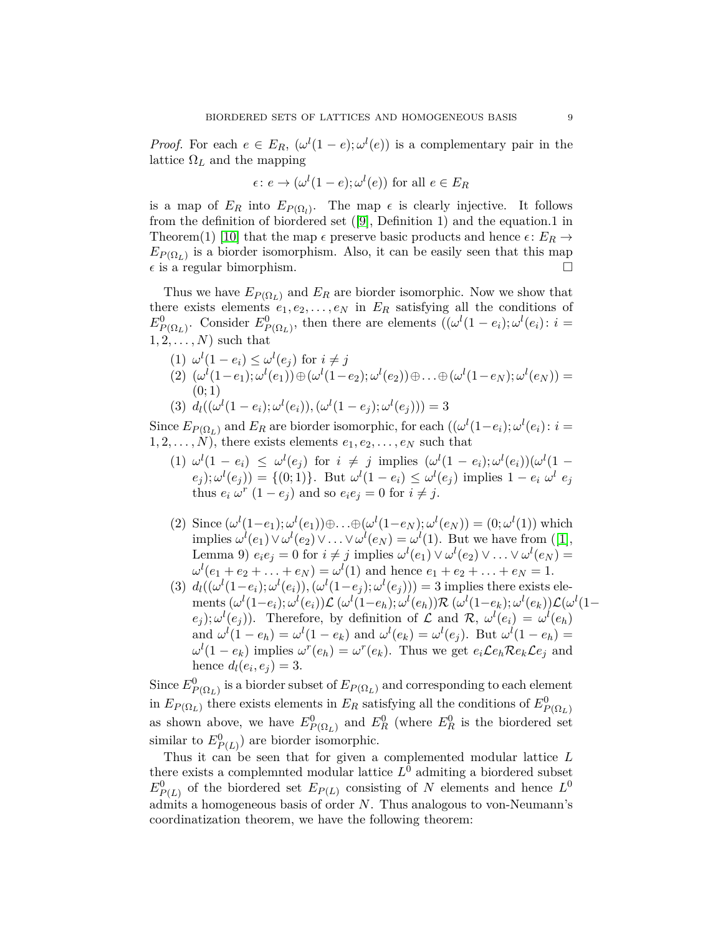*Proof.* For each  $e \in E_R$ ,  $(\omega^l(1-e); \omega^l(e))$  is a complementary pair in the lattice  $\Omega_L$  and the mapping

$$
\epsilon \colon e \to (\omega^l (1 - e); \omega^l (e)) \text{ for all } e \in E_R
$$

is a map of  $E_R$  into  $E_{P(\Omega_l)}$ . The map  $\epsilon$  is clearly injective. It follows from the definition of biordered set ([\[9\]](#page-9-0), Definition 1) and the equation.1 in Theorem(1) [\[10\]](#page-9-3) that the map  $\epsilon$  preserve basic products and hence  $\epsilon$ :  $E_R \rightarrow$  $E_{P(\Omega_L)}$  is a biorder isomorphism. Also, it can be easily seen that this map  $\epsilon$  is a regular bimorphism.

Thus we have  $E_{P(\Omega_L)}$  and  $E_R$  are biorder isomorphic. Now we show that there exists elements  $e_1, e_2, \ldots, e_N$  in  $E_R$  satisfying all the conditions of  $E_{P(\Omega_L)}^0$ . Consider  $E_{P(\Omega_L)}^0$ , then there are elements  $((\omega^l(1-e_i);\omega^l(e_i):i=1)$  $1, 2, \ldots, N$  such that

(1) 
$$
\omega^{l}(1 - e_{i}) \leq \omega^{l}(e_{j})
$$
 for  $i \neq j$   
\n(2)  $(\omega^{l}(1 - e_{1}); \omega^{l}(e_{1})) \oplus (\omega^{l}(1 - e_{2}); \omega^{l}(e_{2})) \oplus \ldots \oplus (\omega^{l}(1 - e_{N}); \omega^{l}(e_{N})) =$   
\n(3)  $d_{l}((\omega^{l}(1 - e_{i}); \omega^{l}(e_{i})), (\omega^{l}(1 - e_{j}); \omega^{l}(e_{j}))) = 3$ 

Since  $E_{P(\Omega_L)}$  and  $E_R$  are biorder isomorphic, for each  $((\omega^l(1-e_i);\omega^l(e_i):i=$  $1, 2, \ldots, N$ , there exists elements  $e_1, e_2, \ldots, e_N$  such that

- (1)  $\omega^l(1-e_i) \leq \omega^l(e_j)$  for  $i \neq j$  implies  $(\omega^l(1-e_i); \omega^l(e_i))(\omega^l(1-e_i))$  $(e_j)$ ;  $\omega^l(e_j)$ ) = {(0; 1)}. But  $\omega^l(1-e_i) \leq \omega^l(e_j)$  implies  $1-e_i$   $\omega^l e_j$ thus  $e_i \omega^r (1 - e_j)$  and so  $e_i e_j = 0$  for  $i \neq j$ .
- (2) Since  $(\omega^{l}(1-e_1); \omega^{l}(e_1))\oplus ... \oplus (\omega^{l}(1-e_N); \omega^{l}(e_N)) = (0; \omega^{l}(1))$  which implies  $\omega^l(e_1) \vee \omega^l(e_2) \vee \ldots \vee \omega^l(e_N) = \omega^l(1)$ . But we have from ([\[1\]](#page-9-2), Lemma 9)  $e_i e_j = 0$  for  $i \neq j$  implies  $\omega^l(e_1) \vee \omega^l(e_2) \vee \ldots \vee \omega^l(e_N) =$  $\omega^{l}(e_1 + e_2 + \ldots + e_N) = \omega^{l}(1)$  and hence  $e_1 + e_2 + \ldots + e_N = 1$ .
- (3)  $d_l((\omega^l(1-e_i);\omega^l(e_i)),(\omega^l(1-e_j);\omega^l(e_j))) = 3$  implies there exists ele- ${\rm \,ments\,}(\omega^l(1-e_i);\omega^l(e_i))\mathcal{L}\,(\omega^l(1-e_h);\omega^l(e_h))\mathcal{R}\,(\omega^l(1-e_k);\omega^l(e_k))\mathcal{L}(\omega^l(1-e_k))$  $(e_j)$ ;  $\omega^l(e_j)$ ). Therefore, by definition of L and R,  $\omega^l(e_i) = \omega^l(e_h)$ and  $\omega^l(1 - e_h) = \omega^l(1 - e_k)$  and  $\omega^l(e_k) = \omega^l(e_j)$ . But  $\omega^l(1 - e_h) =$  $\omega^l(1-e_k)$  implies  $\omega^r(e_k) = \omega^r(e_k)$ . Thus we get  $e_i \mathcal{L}e_k \mathcal{R}e_k \mathcal{L}e_j$  and hence  $d_l(e_i, e_j) = 3$ .

Since  $E^0_{P(\Omega_L)}$  is a biorder subset of  $E_{P(\Omega_L)}$  and corresponding to each element in  $E_{P(\Omega_L)}$  there exists elements in  $E_R$  satisfying all the conditions of  $E^0_{P(\Omega_L)}$ as shown above, we have  $E_{P(\Omega_L)}^0$  and  $E_R^0$  (where  $E_R^0$  is the biordered set similar to  $E_{P(L)}^0$  are biorder isomorphic.

Thus it can be seen that for given a complemented modular lattice *L* there exists a complemnted modular lattice  $L^0$  admiting a biordered subset  $E_{P(L)}^0$  of the biordered set  $E_{P(L)}$  consisting of *N* elements and hence  $L^0$ admits a homogeneous basis of order *N*. Thus analogous to von-Neumann's coordinatization theorem, we have the following theorem: